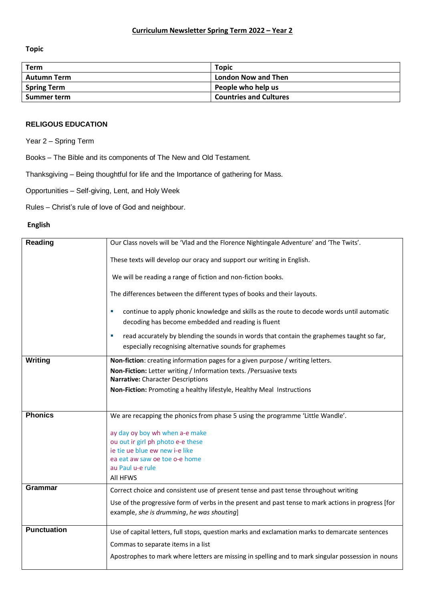**Topic** 

| Term               | <b>Topic</b>                  |
|--------------------|-------------------------------|
| <b>Autumn Term</b> | <b>London Now and Then</b>    |
| <b>Spring Term</b> | People who help us            |
| Summer term        | <b>Countries and Cultures</b> |
|                    |                               |

## **RELIGOUS EDUCATION**

Year 2 – Spring Term

Books – The Bible and its components of The New and Old Testament.

Thanksgiving – Being thoughtful for life and the Importance of gathering for Mass.

Opportunities – Self-giving, Lent, and Holy Week

Rules – Christ's rule of love of God and neighbour.

## **English**

| Reading            | Our Class novels will be 'Vlad and the Florence Nightingale Adventure' and 'The Twits'.             |
|--------------------|-----------------------------------------------------------------------------------------------------|
|                    | These texts will develop our oracy and support our writing in English.                              |
|                    | We will be reading a range of fiction and non-fiction books.                                        |
|                    | The differences between the different types of books and their layouts.                             |
|                    | continue to apply phonic knowledge and skills as the route to decode words until automatic<br>×     |
|                    | decoding has become embedded and reading is fluent                                                  |
|                    | read accurately by blending the sounds in words that contain the graphemes taught so far,<br>×      |
|                    | especially recognising alternative sounds for graphemes                                             |
| Writing            | Non-fiction: creating information pages for a given purpose / writing letters.                      |
|                    | Non-Fiction: Letter writing / Information texts. / Persuasive texts                                 |
|                    | Narrative: Character Descriptions                                                                   |
|                    | Non-Fiction: Promoting a healthy lifestyle, Healthy Meal Instructions                               |
|                    |                                                                                                     |
| <b>Phonics</b>     | We are recapping the phonics from phase 5 using the programme 'Little Wandle'.                      |
|                    | ay day oy boy wh when a-e make                                                                      |
|                    | ou out ir girl ph photo e-e these                                                                   |
|                    | ie tie ue blue ew new i-e like                                                                      |
|                    | ea eat aw saw oe toe o-e home                                                                       |
|                    | au Paul u-e rule<br>All HFWS                                                                        |
| Grammar            |                                                                                                     |
|                    | Correct choice and consistent use of present tense and past tense throughout writing                |
|                    | Use of the progressive form of verbs in the present and past tense to mark actions in progress [for |
|                    | example, she is drumming, he was shouting]                                                          |
| <b>Punctuation</b> | Use of capital letters, full stops, question marks and exclamation marks to demarcate sentences     |
|                    | Commas to separate items in a list                                                                  |
|                    | Apostrophes to mark where letters are missing in spelling and to mark singular possession in nouns  |
|                    |                                                                                                     |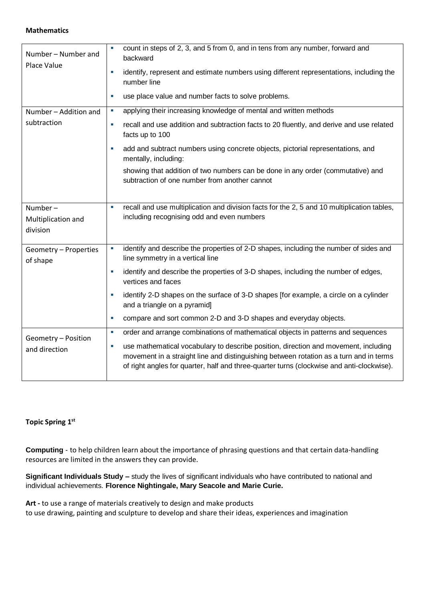#### **Mathematics**

| Number - Number and<br>Place Value           | count in steps of 2, 3, and 5 from 0, and in tens from any number, forward and<br>$\mathcal{L}_{\mathcal{A}}$<br>backward<br>identify, represent and estimate numbers using different representations, including the<br>$\mathcal{L}_{\mathcal{A}}$<br>number line<br>use place value and number facts to solve problems.<br>$\overline{\phantom{a}}$ |
|----------------------------------------------|-------------------------------------------------------------------------------------------------------------------------------------------------------------------------------------------------------------------------------------------------------------------------------------------------------------------------------------------------------|
| Number - Addition and<br>subtraction         | applying their increasing knowledge of mental and written methods<br>L.                                                                                                                                                                                                                                                                               |
|                                              | recall and use addition and subtraction facts to 20 fluently, and derive and use related<br>$\mathcal{L}_{\mathcal{A}}$<br>facts up to 100                                                                                                                                                                                                            |
|                                              | add and subtract numbers using concrete objects, pictorial representations, and<br>×<br>mentally, including:                                                                                                                                                                                                                                          |
|                                              | showing that addition of two numbers can be done in any order (commutative) and<br>subtraction of one number from another cannot                                                                                                                                                                                                                      |
| Number $-$<br>Multiplication and<br>division | recall and use multiplication and division facts for the 2, 5 and 10 multiplication tables,<br>$\mathcal{L}_{\mathcal{A}}$<br>including recognising odd and even numbers                                                                                                                                                                              |
| Geometry - Properties<br>of shape            | identify and describe the properties of 2-D shapes, including the number of sides and<br>$\overline{\phantom{a}}$<br>line symmetry in a vertical line                                                                                                                                                                                                 |
|                                              | identify and describe the properties of 3-D shapes, including the number of edges,<br>$\mathcal{L}_{\mathcal{A}}$<br>vertices and faces                                                                                                                                                                                                               |
|                                              | identify 2-D shapes on the surface of 3-D shapes [for example, a circle on a cylinder<br>×.<br>and a triangle on a pyramid]                                                                                                                                                                                                                           |
|                                              | compare and sort common 2-D and 3-D shapes and everyday objects.<br>$\mathcal{L}_{\mathcal{A}}$                                                                                                                                                                                                                                                       |
| Geometry - Position<br>and direction         | order and arrange combinations of mathematical objects in patterns and sequences<br>$\overline{\phantom{a}}$                                                                                                                                                                                                                                          |
|                                              | use mathematical vocabulary to describe position, direction and movement, including<br>×,<br>movement in a straight line and distinguishing between rotation as a turn and in terms<br>of right angles for quarter, half and three-quarter turns (clockwise and anti-clockwise).                                                                      |

# **Topic Spring 1 st**

**Computing** - to help children learn about the importance of phrasing questions and that certain data-handling resources are limited in the answers they can provide.

**Significant Individuals Study –** study the lives of significant individuals who have contributed to national and individual achievements. **Florence Nightingale, Mary Seacole and Marie Curie.**

**Art -** to use a range of materials creatively to design and make products to use drawing, painting and sculpture to develop and share their ideas, experiences and imagination